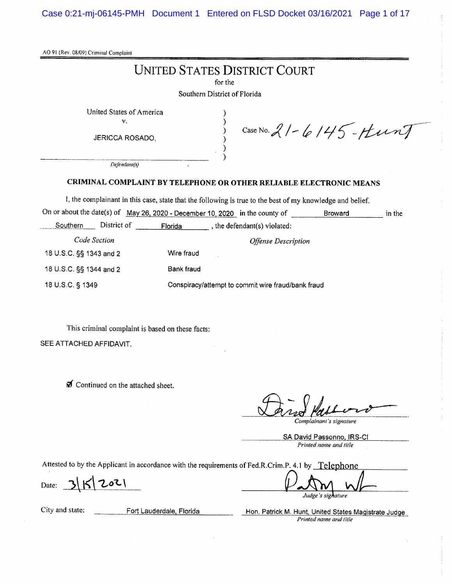Case 0:21-mj-06145-PMH Document 1 Entered on FLSD Docket 03/16/2021 Page 1 of 17

AO 91 (Rev. 08/09) Criminal Complaint

# **UNITED STATES DISTRICT COURT**

for the

 $\lambda$ 

 $\lambda$ 

 $\mathcal{E}$ 

Southern District of Florida

United States of America

 $\mathbf{v}_i$ 

JERICCA ROSADO,

Case No. 21-6145-Hunt

Defendant(s)

#### CRIMINAL COMPLAINT BY TELEPHONE OR OTHER RELIABLE ELECTRONIC MEANS

I, the complainant in this case, state that the following is true to the best of my knowledge and belief.

|                         |             |                                                    | On or about the date(s) of May 26, 2020 - December 10, 2020 in the county of | <b>Broward</b> | in the |
|-------------------------|-------------|----------------------------------------------------|------------------------------------------------------------------------------|----------------|--------|
| Southern                | District of | Florida                                            | the defendant(s) violated:                                                   |                |        |
| Code Section            |             | <i><b>Offense Description</b></i>                  |                                                                              |                |        |
| 18 U.S.C. §§ 1343 and 2 |             | Wire fraud                                         |                                                                              |                |        |
| 18 U.S.C. §§ 1344 and 2 |             | Bank fraud                                         |                                                                              |                |        |
| 18 U.S.C. § 1349        |             | Conspiracy/attempt to commit wire fraud/bank fraud |                                                                              |                |        |

This criminal complaint is based on these facts:

SEE ATTACHED AFFIDAVIT.

for Continued on the attached sheet.

Complainant's signature

SA David Passonno, IRS-CI Printed name and title

Attested to by the Applicant in accordance with the requirements of Fed.R.Crim.P. 4.1 by Telephone

 $3|K|202|$ Date:

Judge's signature

City and state:

Fort Lauderdale, Florida

Hon. Patrick M. Hunt, United States Magistrate Judge Printed name and title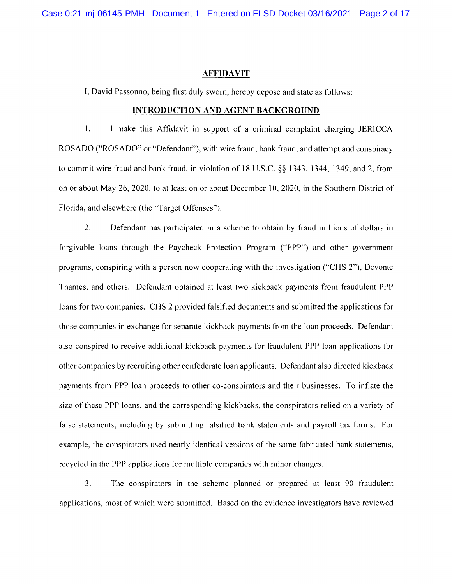#### **AFFIDAVIT**

I, David Passonno, being first duly sworn, hereby depose and state as follows:

#### **INTRODUCTION AND AGENT BACKGROUND**

 $1.$ I make this Affidavit in support of a criminal complaint charging JERICCA ROSADO ("ROSADO" or "Defendant"), with wire fraud, bank fraud, and attempt and conspiracy to commit wire fraud and bank fraud, in violation of 18 U.S.C. §§ 1343, 1344, 1349, and 2, from on or about May 26, 2020, to at least on or about December 10, 2020, in the Southern District of Florida, and elsewhere (the "Target Offenses").

 $2.$ Defendant has participated in a scheme to obtain by fraud millions of dollars in forgivable loans through the Paycheck Protection Program ("PPP") and other government programs, conspiring with a person now cooperating with the investigation ("CHS 2"), Devonte Thames, and others. Defendant obtained at least two kickback payments from fraudulent PPP loans for two companies. CHS 2 provided falsified documents and submitted the applications for those companies in exchange for separate kickback payments from the loan proceeds. Defendant also conspired to receive additional kickback payments for fraudulent PPP loan applications for other companies by recruiting other confederate loan applicants. Defendant also directed kickback payments from PPP loan proceeds to other co-conspirators and their businesses. To inflate the size of these PPP loans, and the corresponding kickbacks, the conspirators relied on a variety of false statements, including by submitting falsified bank statements and payroll tax forms. For example, the conspirators used nearly identical versions of the same fabricated bank statements, recycled in the PPP applications for multiple companies with minor changes.

 $3.$ The conspirators in the scheme planned or prepared at least 90 fraudulent applications, most of which were submitted. Based on the evidence investigators have reviewed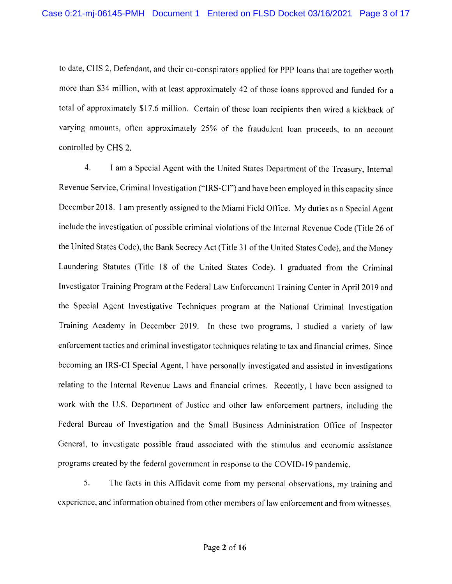to date, CHS 2, Defendant, and their co-conspirators applied for PPP loans that are together worth more than \$34 million, with at least approximately 42 of those loans approved and funded for a total of approximately \$17.6 million. Certain of those loan recipients then wired a kickback of varying amounts, often approximately 25% of the fraudulent loan proceeds, to an account controlled by CHS 2.

 $4.$ I am a Special Agent with the United States Department of the Treasury, Internal Revenue Service, Criminal Investigation ("IRS-CI") and have been employed in this capacity since December 2018. I am presently assigned to the Miami Field Office. My duties as a Special Agent include the investigation of possible criminal violations of the Internal Revenue Code (Title 26 of the United States Code), the Bank Secrecy Act (Title 31 of the United States Code), and the Money Laundering Statutes (Title 18 of the United States Code). I graduated from the Criminal Investigator Training Program at the Federal Law Enforcement Training Center in April 2019 and the Special Agent Investigative Techniques program at the National Criminal Investigation Training Academy in December 2019. In these two programs, I studied a variety of law enforcement tactics and criminal investigator techniques relating to tax and financial crimes. Since becoming an IRS-CI Special Agent, I have personally investigated and assisted in investigations relating to the Internal Revenue Laws and financial crimes. Recently, I have been assigned to work with the U.S. Department of Justice and other law enforcement partners, including the Federal Bureau of Investigation and the Small Business Administration Office of Inspector General, to investigate possible fraud associated with the stimulus and economic assistance programs created by the federal government in response to the COVID-19 pandemic.

5. The facts in this Affidavit come from my personal observations, my training and experience, and information obtained from other members of law enforcement and from witnesses.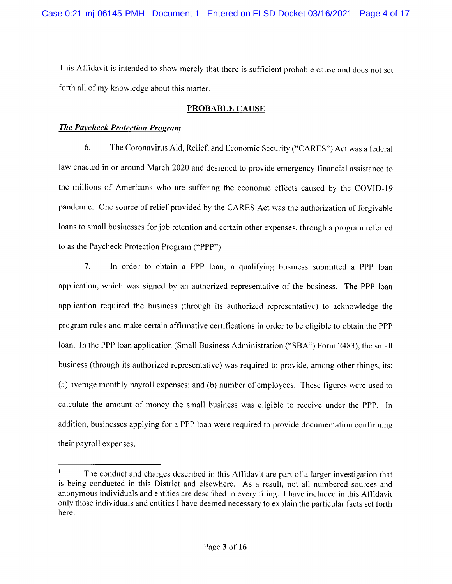This Affidavit is intended to show merely that there is sufficient probable cause and does not set forth all of my knowledge about this matter.<sup>1</sup>

## **PROBABLE CAUSE**

### **The Paycheck Protection Program**

6. The Coronavirus Aid, Relief, and Economic Security ("CARES") Act was a federal law enacted in or around March 2020 and designed to provide emergency financial assistance to the millions of Americans who are suffering the economic effects caused by the COVID-19 pandemic. One source of relief provided by the CARES Act was the authorization of forgivable loans to small businesses for job retention and certain other expenses, through a program referred to as the Paycheck Protection Program ("PPP").

 $7.$ In order to obtain a PPP loan, a qualifying business submitted a PPP loan application, which was signed by an authorized representative of the business. The PPP loan application required the business (through its authorized representative) to acknowledge the program rules and make certain affirmative certifications in order to be eligible to obtain the PPP loan. In the PPP loan application (Small Business Administration ("SBA") Form 2483), the small business (through its authorized representative) was required to provide, among other things, its: (a) average monthly payroll expenses; and (b) number of employees. These figures were used to calculate the amount of money the small business was eligible to receive under the PPP. In addition, businesses applying for a PPP loan were required to provide documentation confirming their payroll expenses.

 $\mathbf{1}$ The conduct and charges described in this Affidavit are part of a larger investigation that is being conducted in this District and elsewhere. As a result, not all numbered sources and anonymous individuals and entities are described in every filing. I have included in this Affidavit only those individuals and entities I have deemed necessary to explain the particular facts set forth here.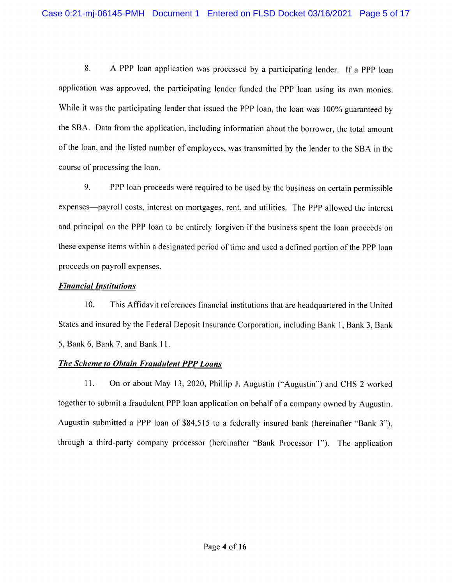8. A PPP loan application was processed by a participating lender. If a PPP loan application was approved, the participating lender funded the PPP loan using its own monies. While it was the participating lender that issued the PPP loan, the loan was 100% guaranteed by the SBA. Data from the application, including information about the borrower, the total amount of the loan, and the listed number of employees, was transmitted by the lender to the SBA in the course of processing the loan.

9. PPP loan proceeds were required to be used by the business on certain permissible expenses—payroll costs, interest on mortgages, rent, and utilities. The PPP allowed the interest and principal on the PPP loan to be entirely forgiven if the business spent the loan proceeds on these expense items within a designated period of time and used a defined portion of the PPP loan proceeds on payroll expenses.

#### **Financial Institutions**

10. This Affidavit references financial institutions that are headquartered in the United States and insured by the Federal Deposit Insurance Corporation, including Bank 1, Bank 3, Bank 5, Bank 6, Bank 7, and Bank 11.

#### The Scheme to Obtain Fraudulent PPP Loans

On or about May 13, 2020, Phillip J. Augustin ("Augustin") and CHS 2 worked  $11.$ together to submit a fraudulent PPP loan application on behalf of a company owned by Augustin. Augustin submitted a PPP loan of \$84,515 to a federally insured bank (hereinafter "Bank 3"), through a third-party company processor (hereinafter "Bank Processor 1"). The application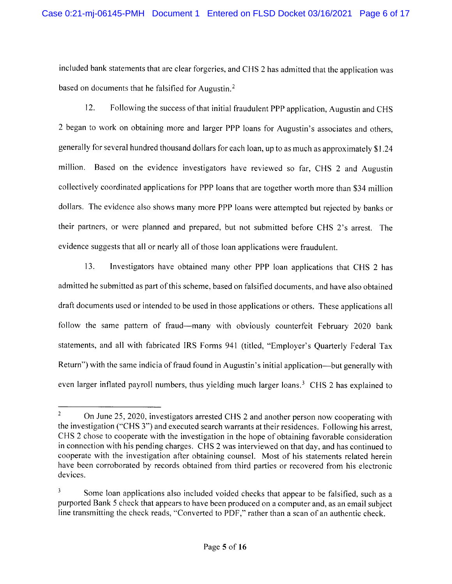included bank statements that are clear forgeries, and CHS 2 has admitted that the application was based on documents that he falsified for Augustin.<sup>2</sup>

 $12.$ Following the success of that initial fraudulent PPP application, Augustin and CHS 2 began to work on obtaining more and larger PPP loans for Augustin's associates and others, generally for several hundred thousand dollars for each loan, up to as much as approximately \$1.24 million. Based on the evidence investigators have reviewed so far, CHS 2 and Augustin collectively coordinated applications for PPP loans that are together worth more than \$34 million dollars. The evidence also shows many more PPP loans were attempted but rejected by banks or their partners, or were planned and prepared, but not submitted before CHS 2's arrest. The evidence suggests that all or nearly all of those loan applications were fraudulent.

13. Investigators have obtained many other PPP loan applications that CHS 2 has admitted he submitted as part of this scheme, based on falsified documents, and have also obtained draft documents used or intended to be used in those applications or others. These applications all follow the same pattern of fraud—many with obviously counterfeit February 2020 bank statements, and all with fabricated IRS Forms 941 (titled, "Employer's Quarterly Federal Tax Return") with the same indicia of fraud found in Augustin's initial application—but generally with even larger inflated payroll numbers, thus yielding much larger loans.<sup>3</sup> CHS 2 has explained to

<sup>&</sup>lt;sup>2</sup> On June 25, 2020, investigators arrested CHS 2 and another person now cooperating with the investigation ("CHS3") and executed search warrants at their residences. Following his arrest, CHS 2 chose to cooperate with the investigation in the hope of obtaining favorable consideration in connection with his pending charges. CHS 2 was interviewed on that day, and has continued to cooperate with the investigation after obtaining counsel. Most of his statements related herein have been corroborated by records obtained from third parties or recovered from his electronic devices.

 $\overline{\mathbf{3}}$ Some loan applications also included voided checks that appear to be falsified, such as a purported Bank 5 check that appears to have been produced on a computer and, as an email subject line transmitting the check reads, "Converted to PDF," rather than a scan of an authentic check.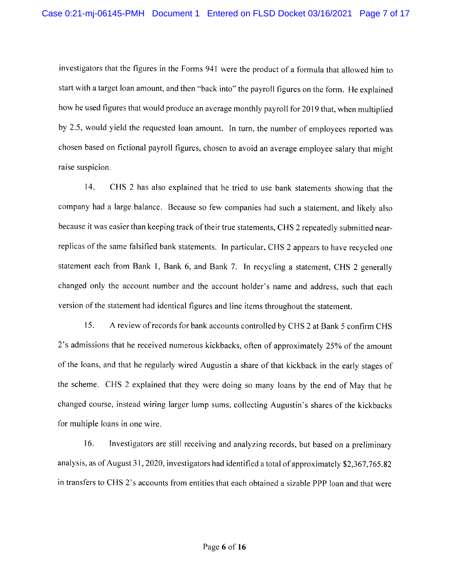investigators that the figures in the Forms 941 were the product of a formula that allowed him to start with a target loan amount, and then "back into" the payroll figures on the form. He explained how he used figures that would produce an average monthly payroll for 2019 that, when multiplied by 2.5, would yield the requested loan amount. In turn, the number of employees reported was chosen based on fictional payroll figures, chosen to avoid an average employee salary that might raise suspicion.

 $14.$ CHS 2 has also explained that he tried to use bank statements showing that the company had a large balance. Because so few companies had such a statement, and likely also because it was easier than keeping track of their true statements, CHS 2 repeatedly submitted nearreplicas of the same falsified bank statements. In particular, CHS 2 appears to have recycled one statement each from Bank 1, Bank 6, and Bank 7. In recycling a statement, CHS 2 generally changed only the account number and the account holder's name and address, such that each version of the statement had identical figures and line items throughout the statement.

15. A review of records for bank accounts controlled by CHS 2 at Bank 5 confirm CHS 2's admissions that he received numerous kickbacks, often of approximately 25% of the amount of the loans, and that he regularly wired Augustin a share of that kickback in the early stages of the scheme. CHS 2 explained that they were doing so many loans by the end of May that he changed course, instead wiring larger lump sums, collecting Augustin's shares of the kickbacks for multiple loans in one wire.

16. Investigators are still receiving and analyzing records, but based on a preliminary analysis, as of August 31, 2020, investigators had identified a total of approximately \$2,367,765.82 in transfers to CHS 2's accounts from entities that each obtained a sizable PPP loan and that were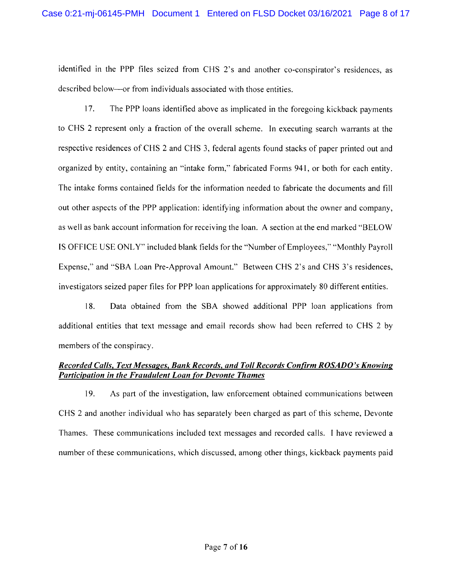identified in the PPP files seized from CHS 2's and another co-conspirator's residences, as described below—or from individuals associated with those entities.

 $17.$ The PPP loans identified above as implicated in the foregoing kickback payments to CHS 2 represent only a fraction of the overall scheme. In executing search warrants at the respective residences of CHS 2 and CHS 3, federal agents found stacks of paper printed out and organized by entity, containing an "intake form," fabricated Forms 941, or both for each entity. The intake forms contained fields for the information needed to fabricate the documents and fill out other aspects of the PPP application: identifying information about the owner and company, as well as bank account information for receiving the loan. A section at the end marked "BELOW IS OFFICE USE ONLY" included blank fields for the "Number of Employees," "Monthly Payroll Expense," and "SBA Loan Pre-Approval Amount." Between CHS 2's and CHS 3's residences, investigators seized paper files for PPP loan applications for approximately 80 different entities.

 $18.$ Data obtained from the SBA showed additional PPP loan applications from additional entities that text message and email records show had been referred to CHS 2 by members of the conspiracy.

### Recorded Calls, Text Messages, Bank Records, and Toll Records Confirm ROSADO's Knowing **Participation in the Fraudulent Loan for Devonte Thames**

19. As part of the investigation, law enforcement obtained communications between CHS 2 and another individual who has separately been charged as part of this scheme, Devonte Thames. These communications included text messages and recorded calls. I have reviewed a number of these communications, which discussed, among other things, kickback payments paid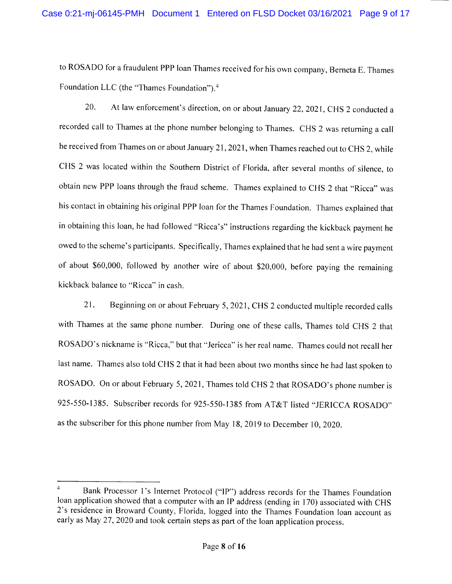to ROSADO for a fraudulent PPP loan Thames received for his own company, Berneta E. Thames Foundation LLC (the "Thames Foundation").<sup>4</sup>

20. At law enforcement's direction, on or about January 22, 2021, CHS 2 conducted a recorded call to Thames at the phone number belonging to Thames. CHS 2 was returning a call he received from Thames on or about January 21, 2021, when Thames reached out to CHS 2, while CHS 2 was located within the Southern District of Florida, after several months of silence, to obtain new PPP loans through the fraud scheme. Thames explained to CHS 2 that "Ricca" was his contact in obtaining his original PPP loan for the Thames Foundation. Thames explained that in obtaining this loan, he had followed "Ricca's" instructions regarding the kickback payment he owed to the scheme's participants. Specifically, Thames explained that he had sent a wire payment of about \$60,000, followed by another wire of about \$20,000, before paying the remaining kickback balance to "Ricca" in cash.

21. Beginning on or about February 5, 2021, CHS 2 conducted multiple recorded calls with Thames at the same phone number. During one of these calls, Thames told CHS 2 that ROSADO's nickname is "Ricca," but that "Jericca" is her real name. Thames could not recall her last name. Thames also told CHS 2 that it had been about two months since he had last spoken to ROSADO. On or about February 5, 2021, Thames told CHS 2 that ROSADO's phone number is 925-550-1385. Subscriber records for 925-550-1385 from AT&T listed "JERICCA ROSADO" as the subscriber for this phone number from May 18, 2019 to December 10, 2020.

 $\overline{4}$ Bank Processor 1's Internet Protocol ("IP") address records for the Thames Foundation loan application showed that a computer with an IP address (ending in 170) associated with CHS 2's residence in Broward County, Florida, logged into the Thames Foundation loan account as early as May 27, 2020 and took certain steps as part of the loan application process.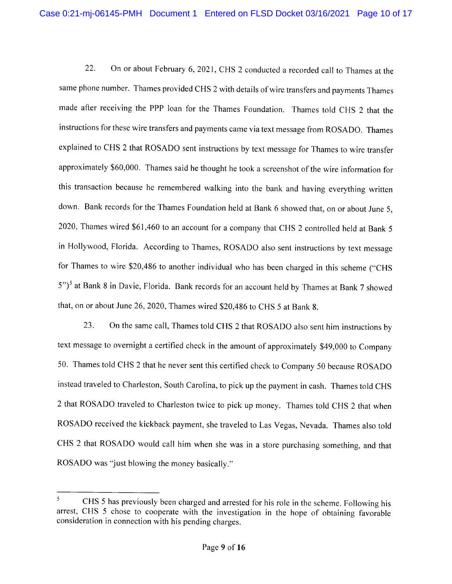22. On or about February 6, 2021, CHS 2 conducted a recorded call to Thames at the same phone number. Thames provided CHS 2 with details of wire transfers and payments Thames made after receiving the PPP loan for the Thames Foundation. Thames told CHS 2 that the instructions for these wire transfers and payments came via text message from ROSADO. Thames explained to CHS 2 that ROSADO sent instructions by text message for Thames to wire transfer approximately \$60,000. Thames said he thought he took a screenshot of the wire information for this transaction because he remembered walking into the bank and having everything written down. Bank records for the Thames Foundation held at Bank 6 showed that, on or about June 5, 2020, Thames wired \$61,460 to an account for a company that CHS 2 controlled held at Bank 5 in Hollywood, Florida. According to Thames, ROSADO also sent instructions by text message for Thames to wire \$20,486 to another individual who has been charged in this scheme ("CHS 5")<sup>5</sup> at Bank 8 in Davie, Florida. Bank records for an account held by Thames at Bank 7 showed that, on or about June 26, 2020, Thames wired \$20,486 to CHS 5 at Bank 8.

23. On the same call, Thames told CHS 2 that ROSADO also sent him instructions by text message to overnight a certified check in the amount of approximately \$49,000 to Company 50. Thames told CHS 2 that he never sent this certified check to Company 50 because ROSADO instead traveled to Charleston, South Carolina, to pick up the payment in cash. Thames told CHS 2 that ROSADO traveled to Charleston twice to pick up money. Thames told CHS 2 that when ROSADO received the kickback payment, she traveled to Las Vegas, Nevada. Thames also told CHS 2 that ROSADO would call him when she was in a store purchasing something, and that ROSADO was "just blowing the money basically."

CHS 5 has previously been charged and arrested for his role in the scheme. Following his arrest, CHS 5 chose to cooperate with the investigation in the hope of obtaining favorable consideration in connection with his pending charges.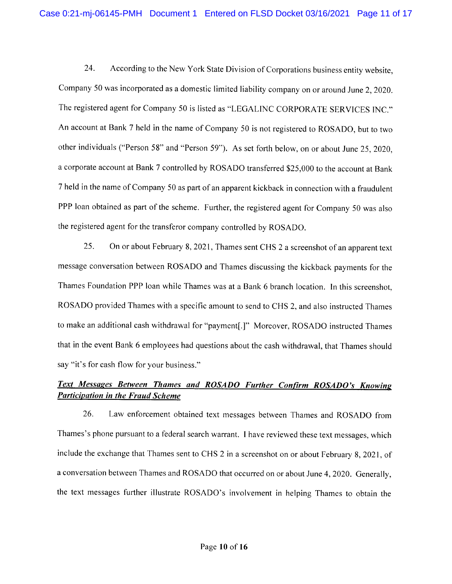24. According to the New York State Division of Corporations business entity website, Company 50 was incorporated as a domestic limited liability company on or around June 2, 2020. The registered agent for Company 50 is listed as "LEGALINC CORPORATE SERVICES INC." An account at Bank 7 held in the name of Company 50 is not registered to ROSADO, but to two other individuals ("Person 58" and "Person 59"). As set forth below, on or about June 25, 2020, a corporate account at Bank 7 controlled by ROSADO transferred \$25,000 to the account at Bank 7 held in the name of Company 50 as part of an apparent kickback in connection with a fraudulent PPP loan obtained as part of the scheme. Further, the registered agent for Company 50 was also the registered agent for the transferor company controlled by ROSADO.

25. On or about February 8, 2021, Thames sent CHS 2 a screenshot of an apparent text message conversation between ROSADO and Thames discussing the kickback payments for the Thames Foundation PPP loan while Thames was at a Bank 6 branch location. In this screenshot, ROSADO provided Thames with a specific amount to send to CHS 2, and also instructed Thames to make an additional cash withdrawal for "payment[.]" Moreover, ROSADO instructed Thames that in the event Bank 6 employees had questions about the cash withdrawal, that Thames should say "it's for cash flow for your business."

# Text Messages Between Thames and ROSADO Further Confirm ROSADO's Knowing **Participation in the Fraud Scheme**

26. Law enforcement obtained text messages between Thames and ROSADO from Thames's phone pursuant to a federal search warrant. I have reviewed these text messages, which include the exchange that Thames sent to CHS 2 in a screenshot on or about February 8, 2021, of a conversation between Thames and ROSADO that occurred on or about June 4, 2020. Generally, the text messages further illustrate ROSADO's involvement in helping Thames to obtain the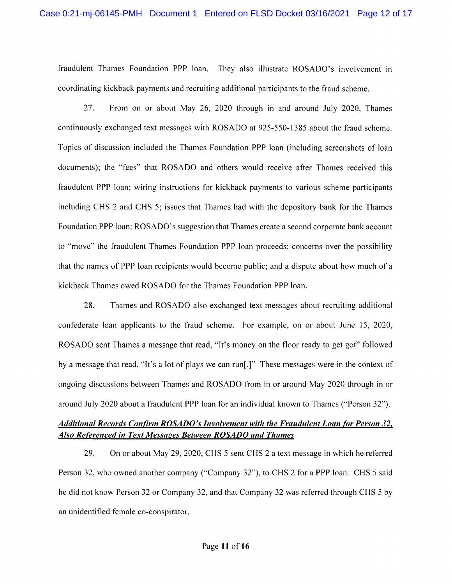fraudulent Thames Foundation PPP loan. They also illustrate ROSADO'S involvement in coordinating kickback payments and recruiting additional participants to the fraud scheme.

 $27$ From on or about May 26, 2020 through in and around July 2020, Thames continuously exchanged text messages with ROSADO at 925-550-1385 about the fraud scheme. Topics of discussion included the Thames Foundation PPP loan (including screenshots of loan documents); the "fees" that ROSADO and others would receive after Thames received this fraudulent PPP loan; wiring instructions for kickback payments to various scheme participants including CHS 2 and CHS 5; issues that Thames had with the depository bank for the Thames Foundation PPP loan; ROSADO's suggestion that Thames create a second corporate bank account to "move" the fraudulent Thames Foundation PPP loan proceeds; concerns over the possibility that the names of PPP loan recipients would become public; and a dispute about how much of a kickback Thames owed ROSADO for the Thames Foundation PPP loan.

28. Thames and ROSADO also exchanged text messages about recruiting additional confederate loan applicants to the fraud scheme. For example, on or about June 15, 2020, ROSADO sent Thames a message that read, "It's money on the floor ready to get got" followed by a message that read, "It's a lot of plays we can run[.]" These messages were in the context of ongoing discussions between Thames and ROSADO from in or around May 2020 through in or around July 2020 about a fraudulent PPP loan for an individual known to Thames ("Person 32").

## Additional Records Confirm ROSADO's Involvement with the Fraudulent Loan for Person 32, Also Referenced in Text Messages Between ROSADO and Thames

29. On or about May 29, 2020, CHS 5 sent CHS 2 a text message in which he referred Person 32, who owned another company ("Company 32"), to CHS 2 for a PPP loan. CHS 5 said he did not know Person 32 or Company 32, and that Company 32 was referred through CHS 5 by an unidentified female co-conspirator.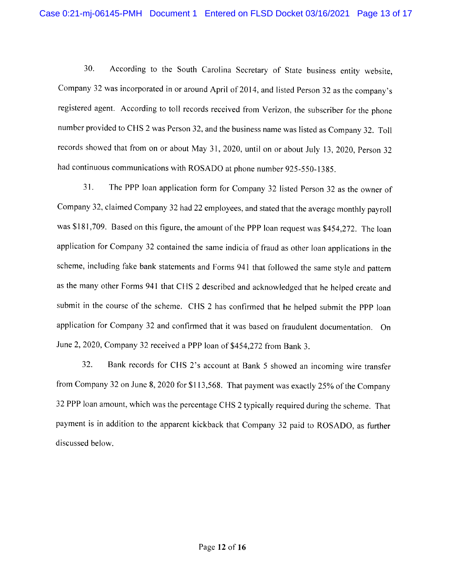30. According to the South Carolina Secretary of State business entity website, Company 32 was incorporated in or around April of 2014, and listed Person 32 as the company's registered agent. According to toll records received from Verizon, the subscriber for the phone number provided to CHS 2 was Person 32, and the business name was listed as Company 32. Toll records showed that from on or about May 31, 2020, until on or about July 13, 2020, Person 32 had continuous communications with ROSADO at phone number 925-550-1385.

 $31.$ The PPP loan application form for Company 32 listed Person 32 as the owner of Company 32, claimed Company 32 had 22 employees, and stated that the average monthly payroll was \$181,709. Based on this figure, the amount of the PPP loan request was \$454,272. The loan application for Company 32 contained the same indicia of fraud as other loan applications in the scheme, including fake bank statements and Forms 941 that followed the same style and pattern as the many other Forms 941 that CHS 2 described and acknowledged that he helped create and submit in the course of the scheme. CHS 2 has confirmed that he helped submit the PPP loan application for Company 32 and confirmed that it was based on fraudulent documentation. On June 2, 2020, Company 32 received a PPP loan of \$454,272 from Bank 3.

32. Bank records for CHS 2's account at Bank 5 showed an incoming wire transfer from Company 32 on June 8, 2020 for \$113,568. That payment was exactly 25% of the Company 32 PPP loan amount, which was the percentage CHS 2 typically required during the scheme. That payment is in addition to the apparent kickback that Company 32 paid to ROSADO, as further discussed below.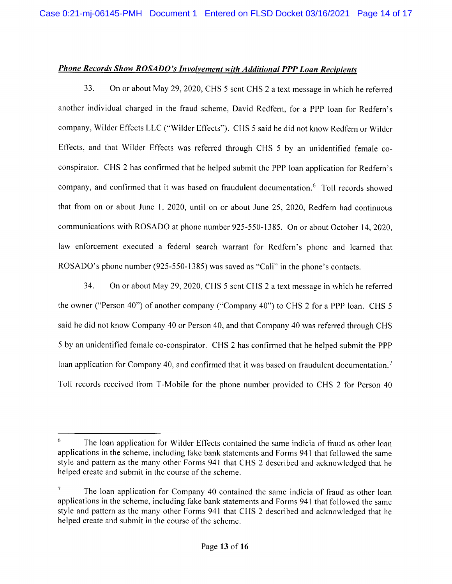#### **Phone Records Show ROSADO's Involvement with Additional PPP Loan Recipients**

33. On or about May 29, 2020, CHS 5 sent CHS 2 a text message in which he referred another individual charged in the fraud scheme, David Redfern, for a PPP loan for Redfern's company, Wilder Effects LLC ("Wilder Effects"). CHS 5 said he did not know Redfern or Wilder Effects, and that Wilder Effects was referred through CHS 5 by an unidentified female coconspirator. CHS 2 has confirmed that he helped submit the PPP loan application for Redfern's company, and confirmed that it was based on fraudulent documentation.<sup>6</sup> Toll records showed that from on or about June 1, 2020, until on or about June 25, 2020, Redfern had continuous communications with ROSADO at phone number 925-550-1385. On or about October 14, 2020, law enforcement executed a federal search warrant for Redfern's phone and learned that ROSADO's phone number (925-550-1385) was saved as "Cali" in the phone's contacts.

34. On or about May 29, 2020, CHS 5 sent CHS 2 a text message in which he referred the owner ("Person 40") of another company ("Company 40") to CHS 2 for a PPP loan. CHS 5 said he did not know Company 40 or Person 40, and that Company 40 was referred through CHS 5 by an unidentified female co-conspirator. CHS 2 has confirmed that he helped submit the PPP loan application for Company 40, and confirmed that it was based on fraudulent documentation.<sup>7</sup> Toll records received from T-Mobile for the phone number provided to CHS 2 for Person 40

<sup>6</sup> The loan application for Wilder Effects contained the same indicia of fraud as other loan applications in the scheme, including fake bank statements and Forms 941 that followed the same style and pattern as the many other Forms 941 that CHS 2 described and acknowledged that he helped create and submit in the course of the scheme.

 $7<sup>1</sup>$ The loan application for Company 40 contained the same indicia of fraud as other loan applications in the scheme, including fake bank statements and Forms 941 that followed the same style and pattern as the many other Forms 941 that CHS 2 described and acknowledged that he helped create and submit in the course of the scheme.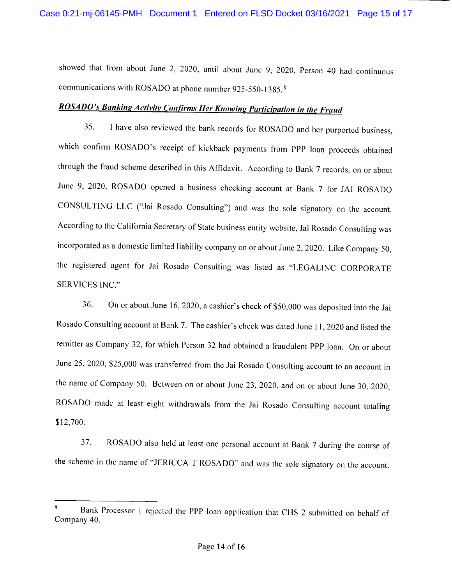showed that from about June 2, 2020, until about June 9, 2020, Person 40 had continuous communications with ROSADO at phone number 925-550-1385.<sup>8</sup>

# ROSADO's Banking Activity Confirms Her Knowing Participation in the Fraud

I have also reviewed the bank records for ROSADO and her purported business, 35. which confirm ROSADO's receipt of kickback payments from PPP loan proceeds obtained through the fraud scheme described in this Affidavit. According to Bank 7 records, on or about June 9, 2020, ROSADO opened a business checking account at Bank 7 for JAI ROSADO CONSULTING LLC ("Jai Rosado Consulting") and was the sole signatory on the account. According to the California Secretary of State business entity website, Jai Rosado Consulting was incorporated as a domestic limited liability company on or about June 2, 2020. Like Company 50, the registered agent for Jai Rosado Consulting was listed as "LEGALINC CORPORATE SERVICES INC."

36. On or about June 16, 2020, a cashier's check of \$50,000 was deposited into the Jai Rosado Consulting account at Bank 7. The cashier's check was dated June 11, 2020 and listed the remitter as Company 32, for which Person 32 had obtained a fraudulent PPP loan. On or about June 25, 2020, \$25,000 was transferred from the Jai Rosado Consulting account to an account in the name of Company 50. Between on or about June 23, 2020, and on or about June 30, 2020, ROSADO made at least eight withdrawals from the Jai Rosado Consulting account totaling \$12,700.

37. ROSADO also held at least one personal account at Bank 7 during the course of the scheme in the name of "JERICCA T ROSADO" and was the sole signatory on the account.

Bank Processor 1 rejected the PPP Ioan application that CHS 2 submitted on behalf of Company 40.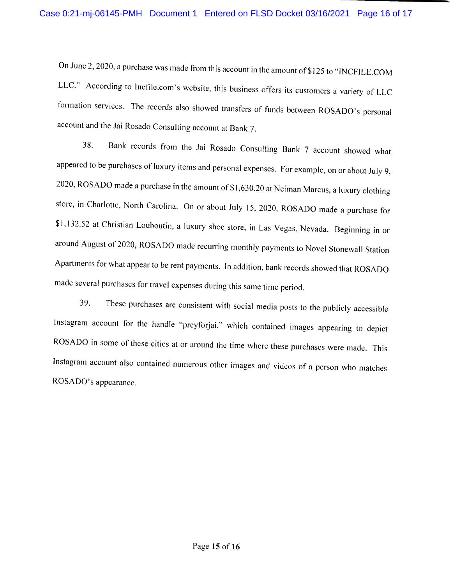On June 2, 2020, a purchase was made from this account in the amount of \$125 to "INCFILE.COM LLC." According to Incfile.com's website, this business offers its customers a variety of LLC formation services. The records also showed transfers of funds between ROSADO's personal account and the Jai Rosado Consulting account at Bank 7.

38. Bank records from the Jai Rosado Consulting Bank 7 account showed what appeared to be purchases of luxury items and personal expenses. For example, on or about July 9, 2020, ROSADO made a purchase in the amount of \$1,630.20 at Neiman Marcus, a luxury clothing store, in Charlotte, North Carolina. On or about July 15, 2020, ROSADO made a purchase for \$1,132.52 at Christian Louboutin, a luxury shoe store, in Las Vegas, Nevada. Beginning in or around August of 2020, ROSADO made recurring monthly payments to Novel Stonewall Station Apartments for what appear to be rent payments. In addition, bank records showed that ROSADO made several purchases for travel expenses during this same time period.

39. These purchases are consistent with social media posts to the publicly accessible Instagram account for the handle "preyforjai," which contained images appearing to depict ROSADO in some of these cities at or around the time where these purchases were made. This Instagram account also contained numerous other images and videos of a person who matches ROSADO's appearance.